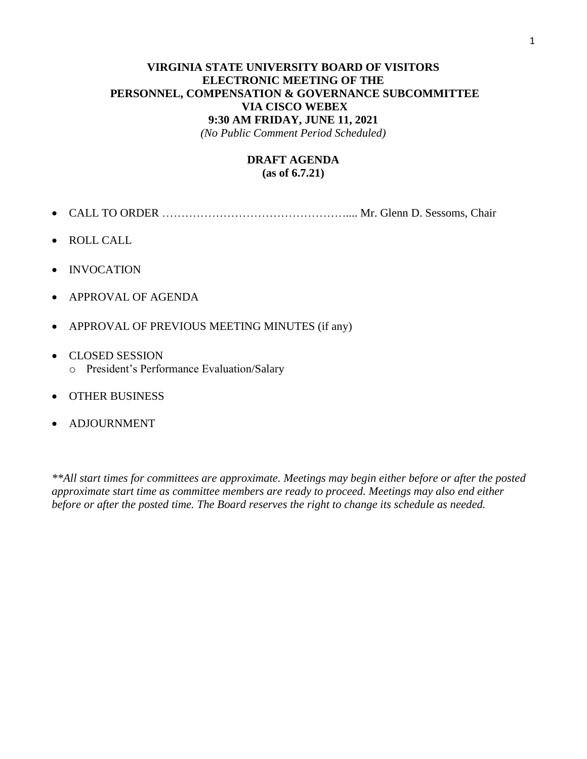### **VIRGINIA STATE UNIVERSITY BOARD OF VISITORS ELECTRONIC MEETING OF THE PERSONNEL, COMPENSATION & GOVERNANCE SUBCOMMITTEE VIA CISCO WEBEX 9:30 AM FRIDAY, JUNE 11, 2021**

*(No Public Comment Period Scheduled)*

### **DRAFT AGENDA (as of 6.7.21)**

- CALL TO ORDER ………………………………………….... Mr. Glenn D. Sessoms, Chair
- ROLL CALL
- INVOCATION
- APPROVAL OF AGENDA
- APPROVAL OF PREVIOUS MEETING MINUTES (if any)
- CLOSED SESSION
	- o President's Performance Evaluation/Salary
- OTHER BUSINESS
- ADJOURNMENT

*\*\*All start times for committees are approximate. Meetings may begin either before or after the posted approximate start time as committee members are ready to proceed. Meetings may also end either before or after the posted time. The Board reserves the right to change its schedule as needed.*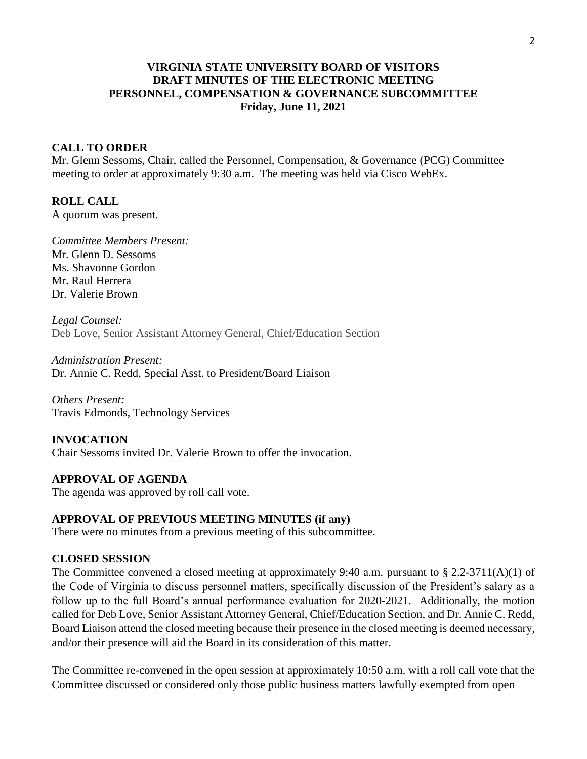## **VIRGINIA STATE UNIVERSITY BOARD OF VISITORS DRAFT MINUTES OF THE ELECTRONIC MEETING PERSONNEL, COMPENSATION & GOVERNANCE SUBCOMMITTEE Friday, June 11, 2021**

### **CALL TO ORDER**

Mr. Glenn Sessoms, Chair, called the Personnel, Compensation, & Governance (PCG) Committee meeting to order at approximately 9:30 a.m. The meeting was held via Cisco WebEx.

### **ROLL CALL**

A quorum was present.

*Committee Members Present:* Mr. Glenn D. Sessoms Ms. Shavonne Gordon Mr. Raul Herrera Dr. Valerie Brown

*Legal Counsel:* Deb Love, Senior Assistant Attorney General, Chief/Education Section

*Administration Present:* Dr. Annie C. Redd, Special Asst. to President/Board Liaison

*Others Present:* Travis Edmonds, Technology Services

## **INVOCATION** Chair Sessoms invited Dr. Valerie Brown to offer the invocation.

# **APPROVAL OF AGENDA**

The agenda was approved by roll call vote.

### **APPROVAL OF PREVIOUS MEETING MINUTES (if any)**

There were no minutes from a previous meeting of this subcommittee.

## **CLOSED SESSION**

The Committee convened a closed meeting at approximately 9:40 a.m. pursuant to  $\S 2.2-3711(A)(1)$  of the Code of Virginia to discuss personnel matters, specifically discussion of the President's salary as a follow up to the full Board's annual performance evaluation for 2020-2021. Additionally, the motion called for Deb Love, Senior Assistant Attorney General, Chief/Education Section, and Dr. Annie C. Redd, Board Liaison attend the closed meeting because their presence in the closed meeting is deemed necessary, and/or their presence will aid the Board in its consideration of this matter.

The Committee re-convened in the open session at approximately 10:50 a.m. with a roll call vote that the Committee discussed or considered only those public business matters lawfully exempted from open